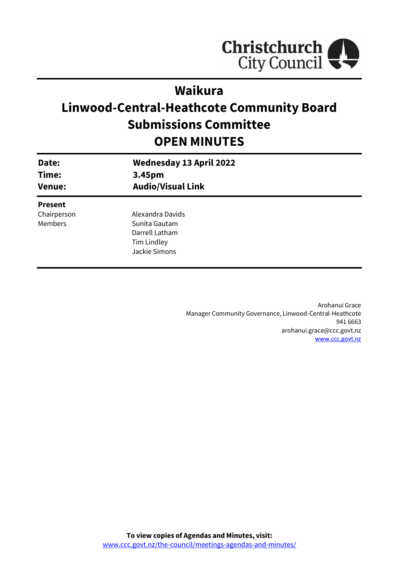

# **Waikura**

# **Linwood-Central-Heathcote Community Board Submissions Committee OPEN MINUTES**

| Date:<br>Time:<br><b>Venue:</b>                 | <b>Wednesday 13 April 2022</b><br>3.45pm<br><b>Audio/Visual Link</b>                |  |
|-------------------------------------------------|-------------------------------------------------------------------------------------|--|
| <b>Present</b><br>Chairperson<br><b>Members</b> | Alexandra Davids<br>Sunita Gautam<br>Darrell Latham<br>Tim Lindley<br>Jackie Simons |  |

Arohanui Grace Manager Community Governance, Linwood-Central-Heathcote 941 6663 arohanui.grace@ccc.govt.nz [www.ccc.govt.nz](http://www.ccc.govt.nz/)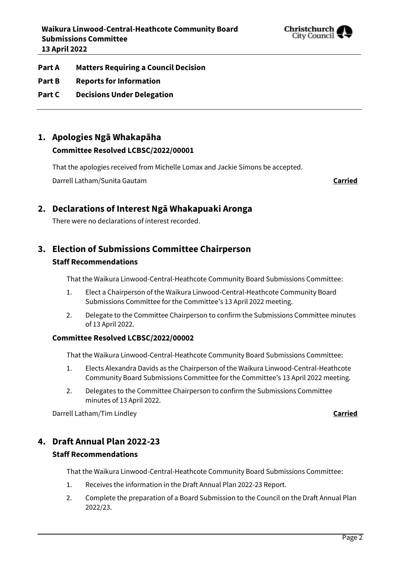

- **Part A Matters Requiring a Council Decision**
- **Part B Reports for Information**
- **Part C Decisions Under Delegation**

# **1. Apologies Ngā Whakapāha Committee Resolved LCBSC/2022/00001**

That the apologies received from Michelle Lomax and Jackie Simons be accepted.

Darrell Latham/Sunita Gautam **Carried**

### **2. Declarations of Interest Ngā Whakapuaki Aronga**

There were no declarations of interest recorded.

# **3. Election of Submissions Committee Chairperson**

#### **Staff Recommendations**

That the Waikura Linwood-Central-Heathcote Community Board Submissions Committee:

- 1. Elect a Chairperson of the Waikura Linwood-Central-Heathcote Community Board Submissions Committee for the Committee's 13 April 2022 meeting.
- 2. Delegate to the Committee Chairperson to confirm the Submissions Committee minutes of 13 April 2022.

#### **Committee Resolved LCBSC/2022/00002**

That the Waikura Linwood-Central-Heathcote Community Board Submissions Committee:

- 1. Elects Alexandra Davids as the Chairperson of the Waikura Linwood-Central-Heathcote Community Board Submissions Committee for the Committee's 13 April 2022 meeting.
- 2. Delegates to the Committee Chairperson to confirm the Submissions Committee minutes of 13 April 2022.

Darrell Latham/Tim Lindley **Carried**

#### **4. Draft Annual Plan 2022-23**

#### **Staff Recommendations**

That the Waikura Linwood-Central-Heathcote Community Board Submissions Committee:

- 1. Receives the information in the Draft Annual Plan 2022-23 Report.
- 2. Complete the preparation of a Board Submission to the Council on the Draft Annual Plan 2022/23.